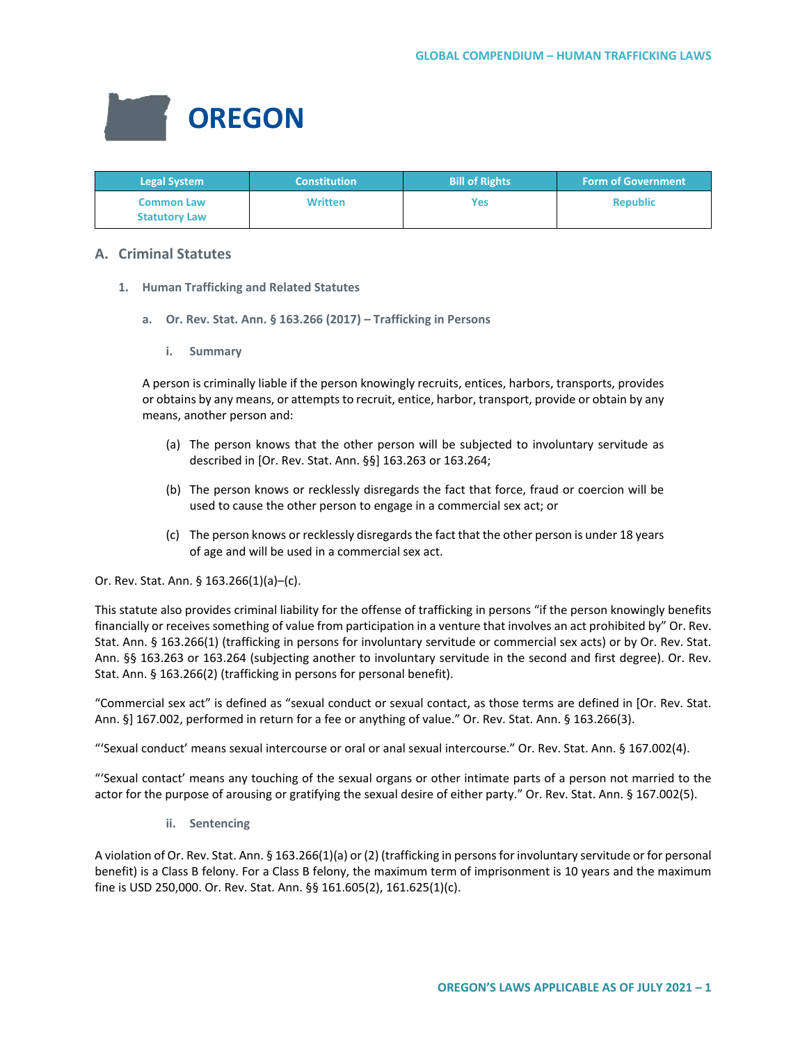

| <b>Legal System</b>                       | <b>Constitution</b> | <b>Bill of Rights</b> | <b>Form of Government</b> |
|-------------------------------------------|---------------------|-----------------------|---------------------------|
| <b>Common Law</b><br><b>Statutory Law</b> | <b>Written</b>      | Yes                   | <b>Republic</b>           |

# **A. Criminal Statutes**

- **1. Human Trafficking and Related Statutes**
	- **a. Or. Rev. Stat. Ann. § 163.266 (2017) Trafficking in Persons**
		- **i. Summary**

A person is criminally liable if the person knowingly recruits, entices, harbors, transports, provides or obtains by any means, or attempts to recruit, entice, harbor, transport, provide or obtain by any means, another person and:

- (a) The person knows that the other person will be subjected to involuntary servitude as described in [Or. Rev. Stat. Ann. §§] 163.263 or 163.264;
- (b) The person knows or recklessly disregards the fact that force, fraud or coercion will be used to cause the other person to engage in a commercial sex act; or
- (c) The person knows or recklessly disregards the fact that the other person is under 18 years of age and will be used in a commercial sex act.

## Or. Rev. Stat. Ann. § 163.266(1)(a)–(c).

This statute also provides criminal liability for the offense of trafficking in persons "if the person knowingly benefits financially or receives something of value from participation in a venture that involves an act prohibited by" Or. Rev. Stat. Ann. § 163.266(1) (trafficking in persons for involuntary servitude or commercial sex acts) or by Or. Rev. Stat. Ann. §§ 163.263 or 163.264 (subjecting another to involuntary servitude in the second and first degree). Or. Rev. Stat. Ann. § 163.266(2) (trafficking in persons for personal benefit).

"Commercial sex act" is defined as "sexual conduct or sexual contact, as those terms are defined in [Or. Rev. Stat. Ann. §] 167.002, performed in return for a fee or anything of value." Or. Rev. Stat. Ann. § 163.266(3).

"'Sexual conduct' means sexual intercourse or oral or anal sexual intercourse." Or. Rev. Stat. Ann. § 167.002(4).

"'Sexual contact' means any touching of the sexual organs or other intimate parts of a person not married to the actor for the purpose of arousing or gratifying the sexual desire of either party." Or. Rev. Stat. Ann. § 167.002(5).

**ii. Sentencing**

A violation of Or. Rev. Stat. Ann. § 163.266(1)(a) or (2) (trafficking in persons for involuntary servitude or for personal benefit) is a Class B felony. For a Class B felony, the maximum term of imprisonment is 10 years and the maximum fine is USD 250,000. Or. Rev. Stat. Ann. §§ 161.605(2), 161.625(1)(c).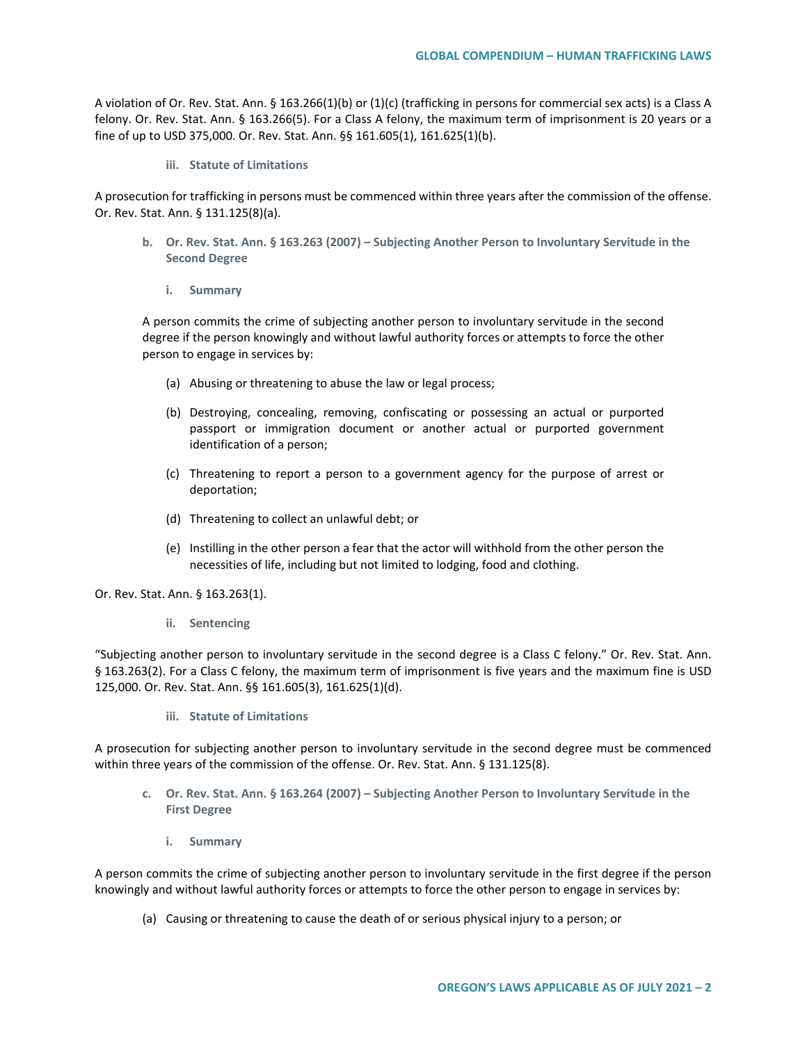A violation of Or. Rev. Stat. Ann. § 163.266(1)(b) or (1)(c) (trafficking in persons for commercial sex acts) is a Class A felony. Or. Rev. Stat. Ann. § 163.266(5). For a Class A felony, the maximum term of imprisonment is 20 years or a fine of up to USD 375,000. Or. Rev. Stat. Ann. §§ 161.605(1), 161.625(1)(b).

**iii. Statute of Limitations**

A prosecution for trafficking in persons must be commenced within three years after the commission of the offense. Or. Rev. Stat. Ann. § 131.125(8)(a).

- **b. Or. Rev. Stat. Ann. § 163.263 (2007) – Subjecting Another Person to Involuntary Servitude in the Second Degree**
	- **i. Summary**

A person commits the crime of subjecting another person to involuntary servitude in the second degree if the person knowingly and without lawful authority forces or attempts to force the other person to engage in services by:

- (a) Abusing or threatening to abuse the law or legal process;
- (b) Destroying, concealing, removing, confiscating or possessing an actual or purported passport or immigration document or another actual or purported government identification of a person;
- (c) Threatening to report a person to a government agency for the purpose of arrest or deportation;
- (d) Threatening to collect an unlawful debt; or
- (e) Instilling in the other person a fear that the actor will withhold from the other person the necessities of life, including but not limited to lodging, food and clothing.

Or. Rev. Stat. Ann. § 163.263(1).

**ii. Sentencing**

"Subjecting another person to involuntary servitude in the second degree is a Class C felony." Or. Rev. Stat. Ann. § 163.263(2). For a Class C felony, the maximum term of imprisonment is five years and the maximum fine is USD 125,000. Or. Rev. Stat. Ann. §§ 161.605(3), 161.625(1)(d).

**iii. Statute of Limitations**

A prosecution for subjecting another person to involuntary servitude in the second degree must be commenced within three years of the commission of the offense. Or. Rev. Stat. Ann. § 131.125(8).

- **c. Or. Rev. Stat. Ann. § 163.264 (2007) – Subjecting Another Person to Involuntary Servitude in the First Degree**
	- **i. Summary**

A person commits the crime of subjecting another person to involuntary servitude in the first degree if the person knowingly and without lawful authority forces or attempts to force the other person to engage in services by:

(a) Causing or threatening to cause the death of or serious physical injury to a person; or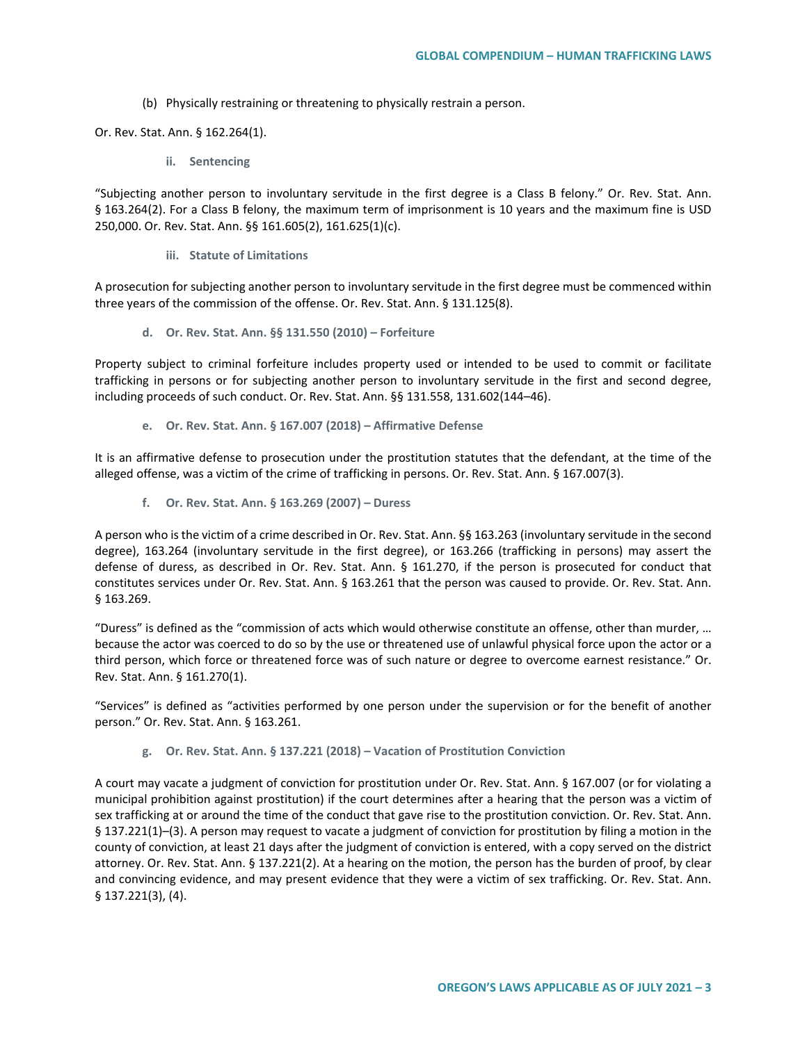(b) Physically restraining or threatening to physically restrain a person.

Or. Rev. Stat. Ann. § 162.264(1).

**ii. Sentencing**

"Subjecting another person to involuntary servitude in the first degree is a Class B felony." Or. Rev. Stat. Ann. § 163.264(2). For a Class B felony, the maximum term of imprisonment is 10 years and the maximum fine is USD 250,000. Or. Rev. Stat. Ann. §§ 161.605(2), 161.625(1)(c).

**iii. Statute of Limitations**

A prosecution for subjecting another person to involuntary servitude in the first degree must be commenced within three years of the commission of the offense. Or. Rev. Stat. Ann. § 131.125(8).

**d. Or. Rev. Stat. Ann. §§ 131.550 (2010) – Forfeiture**

Property subject to criminal forfeiture includes property used or intended to be used to commit or facilitate trafficking in persons or for subjecting another person to involuntary servitude in the first and second degree, including proceeds of such conduct. Or. Rev. Stat. Ann. §§ 131.558, 131.602(144–46).

**e. Or. Rev. Stat. Ann. § 167.007 (2018) – Affirmative Defense**

It is an affirmative defense to prosecution under the prostitution statutes that the defendant, at the time of the alleged offense, was a victim of the crime of trafficking in persons. Or. Rev. Stat. Ann. § 167.007(3).

**f. Or. Rev. Stat. Ann. § 163.269 (2007) – Duress**

A person who is the victim of a crime described in Or. Rev. Stat. Ann. §§ 163.263 (involuntary servitude in the second degree), 163.264 (involuntary servitude in the first degree), or 163.266 (trafficking in persons) may assert the defense of duress, as described in Or. Rev. Stat. Ann. § 161.270, if the person is prosecuted for conduct that constitutes services under Or. Rev. Stat. Ann. § 163.261 that the person was caused to provide. Or. Rev. Stat. Ann. § 163.269.

"Duress" is defined as the "commission of acts which would otherwise constitute an offense, other than murder, … because the actor was coerced to do so by the use or threatened use of unlawful physical force upon the actor or a third person, which force or threatened force was of such nature or degree to overcome earnest resistance." Or. Rev. Stat. Ann. § 161.270(1).

"Services" is defined as "activities performed by one person under the supervision or for the benefit of another person." Or. Rev. Stat. Ann. § 163.261.

**g. Or. Rev. Stat. Ann. § 137.221 (2018) – Vacation of Prostitution Conviction** 

A court may vacate a judgment of conviction for prostitution under Or. Rev. Stat. Ann. § 167.007 (or for violating a municipal prohibition against prostitution) if the court determines after a hearing that the person was a victim of sex trafficking at or around the time of the conduct that gave rise to the prostitution conviction. Or. Rev. Stat. Ann. § 137.221(1)–(3). A person may request to vacate a judgment of conviction for prostitution by filing a motion in the county of conviction, at least 21 days after the judgment of conviction is entered, with a copy served on the district attorney. Or. Rev. Stat. Ann. § 137.221(2). At a hearing on the motion, the person has the burden of proof, by clear and convincing evidence, and may present evidence that they were a victim of sex trafficking. Or. Rev. Stat. Ann. § 137.221(3), (4).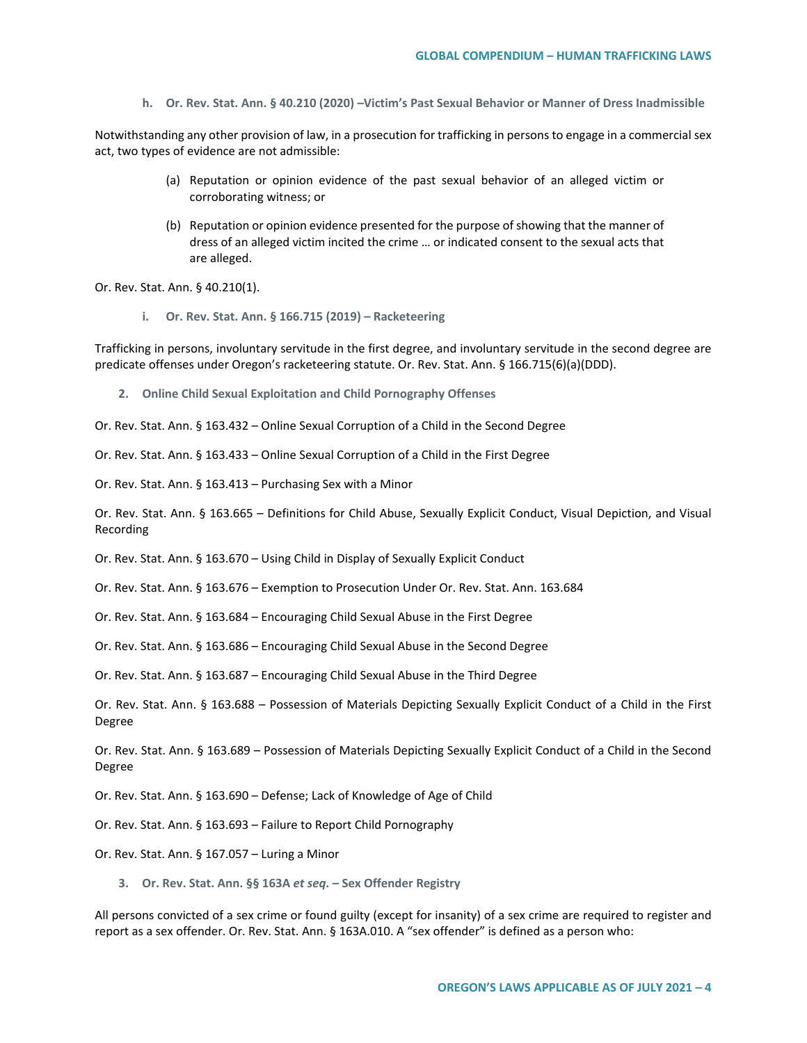**h. Or. Rev. Stat. Ann. § 40.210 (2020) –Victim's Past Sexual Behavior or Manner of Dress Inadmissible**

Notwithstanding any other provision of law, in a prosecution for trafficking in persons to engage in a commercial sex act, two types of evidence are not admissible:

- (a) Reputation or opinion evidence of the past sexual behavior of an alleged victim or corroborating witness; or
- (b) Reputation or opinion evidence presented for the purpose of showing that the manner of dress of an alleged victim incited the crime … or indicated consent to the sexual acts that are alleged.

Or. Rev. Stat. Ann. § 40.210(1).

**i. Or. Rev. Stat. Ann. § 166.715 (2019) – Racketeering**

Trafficking in persons, involuntary servitude in the first degree, and involuntary servitude in the second degree are predicate offenses under Oregon's racketeering statute. Or. Rev. Stat. Ann. § 166.715(6)(a)(DDD).

**2. Online Child Sexual Exploitation and Child Pornography Offenses**

Or. Rev. Stat. Ann. § 163.432 – Online Sexual Corruption of a Child in the Second Degree

Or. Rev. Stat. Ann. § 163.433 – Online Sexual Corruption of a Child in the First Degree

Or. Rev. Stat. Ann. § 163.413 – Purchasing Sex with a Minor

Or. Rev. Stat. Ann. § 163.665 – Definitions for Child Abuse, Sexually Explicit Conduct, Visual Depiction, and Visual Recording

Or. Rev. Stat. Ann. § 163.670 – Using Child in Display of Sexually Explicit Conduct

Or. Rev. Stat. Ann. § 163.676 – Exemption to Prosecution Under Or. Rev. Stat. Ann. 163.684

Or. Rev. Stat. Ann. § 163.684 – Encouraging Child Sexual Abuse in the First Degree

Or. Rev. Stat. Ann. § 163.686 – Encouraging Child Sexual Abuse in the Second Degree

Or. Rev. Stat. Ann. § 163.687 – Encouraging Child Sexual Abuse in the Third Degree

Or. Rev. Stat. Ann. § 163.688 – Possession of Materials Depicting Sexually Explicit Conduct of a Child in the First Degree

Or. Rev. Stat. Ann. § 163.689 – Possession of Materials Depicting Sexually Explicit Conduct of a Child in the Second Degree

Or. Rev. Stat. Ann. § 163.690 – Defense; Lack of Knowledge of Age of Child

Or. Rev. Stat. Ann. § 163.693 – Failure to Report Child Pornography

Or. Rev. Stat. Ann. § 167.057 – Luring a Minor

**3. Or. Rev. Stat. Ann. §§ 163A** *et seq***. – Sex Offender Registry**

All persons convicted of a sex crime or found guilty (except for insanity) of a sex crime are required to register and report as a sex offender. Or. Rev. Stat. Ann. § 163A.010. A "sex offender" is defined as a person who: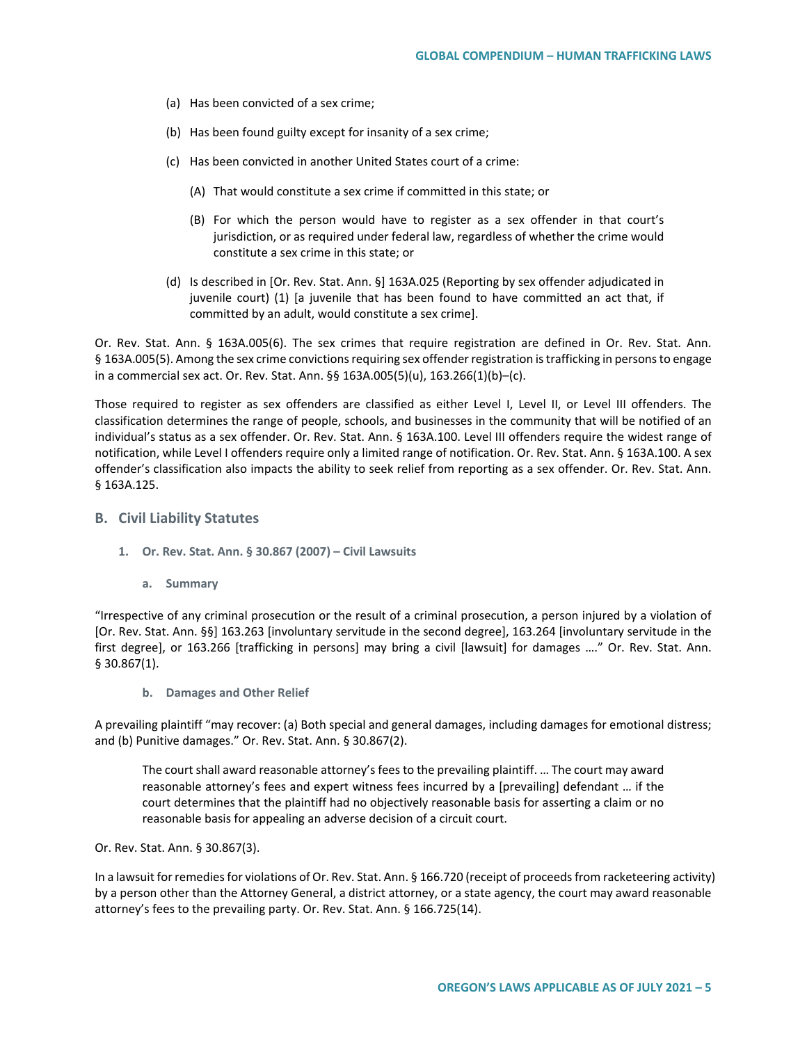- (a) Has been convicted of a sex crime;
- (b) Has been found guilty except for insanity of a sex crime;
- (c) Has been convicted in another United States court of a crime:
	- (A) That would constitute a sex crime if committed in this state; or
	- (B) For which the person would have to register as a sex offender in that court's jurisdiction, or as required under federal law, regardless of whether the crime would constitute a sex crime in this state; or
- (d) Is described in [Or. Rev. Stat. Ann. §] 163A.025 (Reporting by sex offender adjudicated in juvenile court) (1) [a juvenile that has been found to have committed an act that, if committed by an adult, would constitute a sex crime].

Or. Rev. Stat. Ann. § 163A.005(6). The sex crimes that require registration are defined in Or. Rev. Stat. Ann. § 163A.005(5). Among the sex crime convictions requiring sex offender registration is trafficking in persons to engage in a commercial sex act. Or. Rev. Stat. Ann. §§ 163A.005(5)(u), 163.266(1)(b)–(c).

Those required to register as sex offenders are classified as either Level I, Level II, or Level III offenders. The classification determines the range of people, schools, and businesses in the community that will be notified of an individual's status as a sex offender. Or. Rev. Stat. Ann. § 163A.100. Level III offenders require the widest range of notification, while Level I offenders require only a limited range of notification. Or. Rev. Stat. Ann. § 163A.100. A sex offender's classification also impacts the ability to seek relief from reporting as a sex offender. Or. Rev. Stat. Ann. § 163A.125.

### **B. Civil Liability Statutes**

- **1. Or. Rev. Stat. Ann. § 30.867 (2007) – Civil Lawsuits**
	- **a. Summary**

"Irrespective of any criminal prosecution or the result of a criminal prosecution, a person injured by a violation of [Or. Rev. Stat. Ann. §§] 163.263 [involuntary servitude in the second degree], 163.264 [involuntary servitude in the first degree], or 163.266 [trafficking in persons] may bring a civil [lawsuit] for damages …." Or. Rev. Stat. Ann. § 30.867(1).

**b. Damages and Other Relief**

A prevailing plaintiff "may recover: (a) Both special and general damages, including damages for emotional distress; and (b) Punitive damages." Or. Rev. Stat. Ann. § 30.867(2).

The court shall award reasonable attorney's fees to the prevailing plaintiff. … The court may award reasonable attorney's fees and expert witness fees incurred by a [prevailing] defendant … if the court determines that the plaintiff had no objectively reasonable basis for asserting a claim or no reasonable basis for appealing an adverse decision of a circuit court.

Or. Rev. Stat. Ann. § 30.867(3).

In a lawsuit for remedies for violations of Or. Rev. Stat. Ann. § 166.720 (receipt of proceeds from racketeering activity) by a person other than the Attorney General, a district attorney, or a state agency, the court may award reasonable attorney's fees to the prevailing party. Or. Rev. Stat. Ann. § 166.725(14).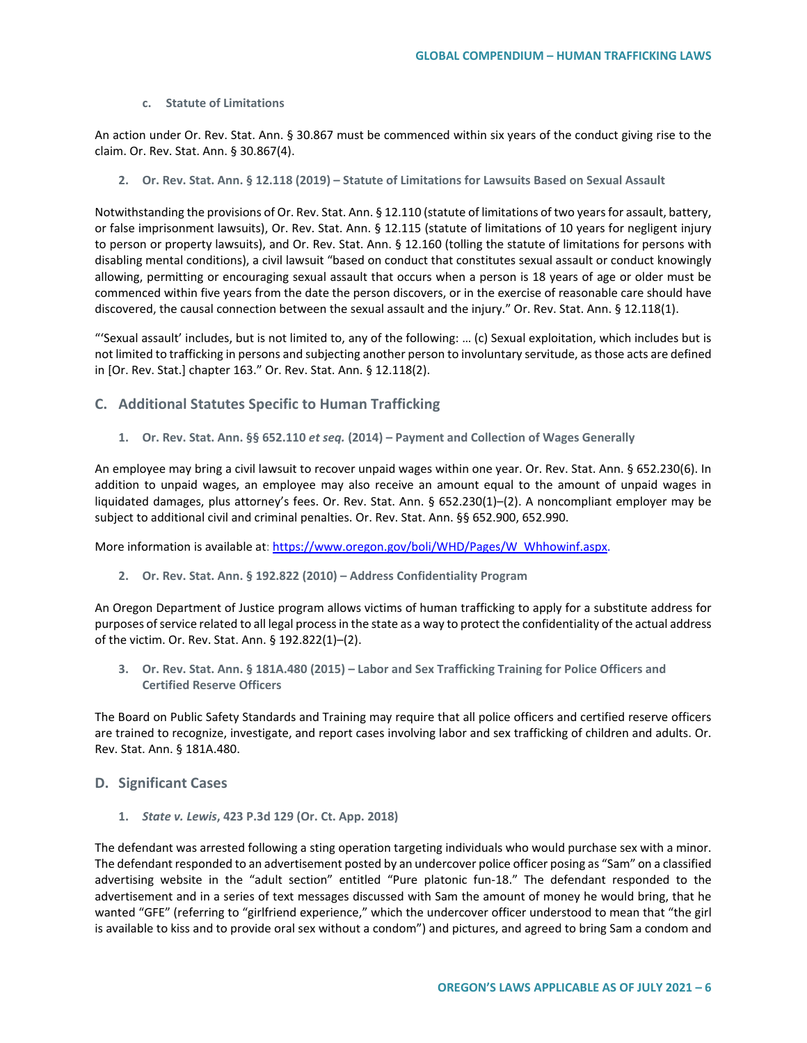#### **c. Statute of Limitations**

An action under Or. Rev. Stat. Ann. § 30.867 must be commenced within six years of the conduct giving rise to the claim. Or. Rev. Stat. Ann. § 30.867(4).

**2. Or. Rev. Stat. Ann. § 12.118 (2019) – Statute of Limitations for Lawsuits Based on Sexual Assault**

Notwithstanding the provisions of Or. Rev. Stat. Ann. § 12.110 (statute of limitations of two years for assault, battery, or false imprisonment lawsuits), Or. Rev. Stat. Ann. § 12.115 (statute of limitations of 10 years for negligent injury to person or property lawsuits), and Or. Rev. Stat. Ann. § 12.160 (tolling the statute of limitations for persons with disabling mental conditions), a civil lawsuit "based on conduct that constitutes sexual assault or conduct knowingly allowing, permitting or encouraging sexual assault that occurs when a person is 18 years of age or older must be commenced within five years from the date the person discovers, or in the exercise of reasonable care should have discovered, the causal connection between the sexual assault and the injury." Or. Rev. Stat. Ann. § 12.118(1).

"'Sexual assault' includes, but is not limited to, any of the following: … (c) Sexual exploitation, which includes but is not limited to trafficking in persons and subjecting another person to involuntary servitude, as those acts are defined in [Or. Rev. Stat.] chapter 163." Or. Rev. Stat. Ann. § 12.118(2).

- **C. Additional Statutes Specific to Human Trafficking**
	- **1. Or. Rev. Stat. Ann. §§ 652.110** *et seq.* **(2014) Payment and Collection of Wages Generally**

An employee may bring a civil lawsuit to recover unpaid wages within one year. Or. Rev. Stat. Ann. § 652.230(6). In addition to unpaid wages, an employee may also receive an amount equal to the amount of unpaid wages in liquidated damages, plus attorney's fees. Or. Rev. Stat. Ann. § 652.230(1)–(2). A noncompliant employer may be subject to additional civil and criminal penalties. Or. Rev. Stat. Ann. §§ 652.900, 652.990.

More information is available at: [https://www.oregon.gov/boli/WHD/Pages/W\\_Whhowinf.aspx.](https://www.oregon.gov/boli/WHD/Pages/W_Whhowinf.aspx)

**2. Or. Rev. Stat. Ann. § 192.822 (2010) – Address Confidentiality Program** 

An Oregon Department of Justice program allows victims of human trafficking to apply for a substitute address for purposes of service related to all legal process in the state as a way to protect the confidentiality of the actual address of the victim. Or. Rev. Stat. Ann. § 192.822(1)–(2).

**3. Or. Rev. Stat. Ann. § 181A.480 (2015) – Labor and Sex Trafficking Training for Police Officers and Certified Reserve Officers**

The Board on Public Safety Standards and Training may require that all police officers and certified reserve officers are trained to recognize, investigate, and report cases involving labor and sex trafficking of children and adults. Or. Rev. Stat. Ann. § 181A.480.

# **D. Significant Cases**

**1.** *State v. Lewis***, 423 P.3d 129 (Or. Ct. App. 2018)**

The defendant was arrested following a sting operation targeting individuals who would purchase sex with a minor. The defendant responded to an advertisement posted by an undercover police officer posing as "Sam" on a classified advertising website in the "adult section" entitled "Pure platonic fun-18." The defendant responded to the advertisement and in a series of text messages discussed with Sam the amount of money he would bring, that he wanted "GFE" (referring to "girlfriend experience," which the undercover officer understood to mean that "the girl is available to kiss and to provide oral sex without a condom") and pictures, and agreed to bring Sam a condom and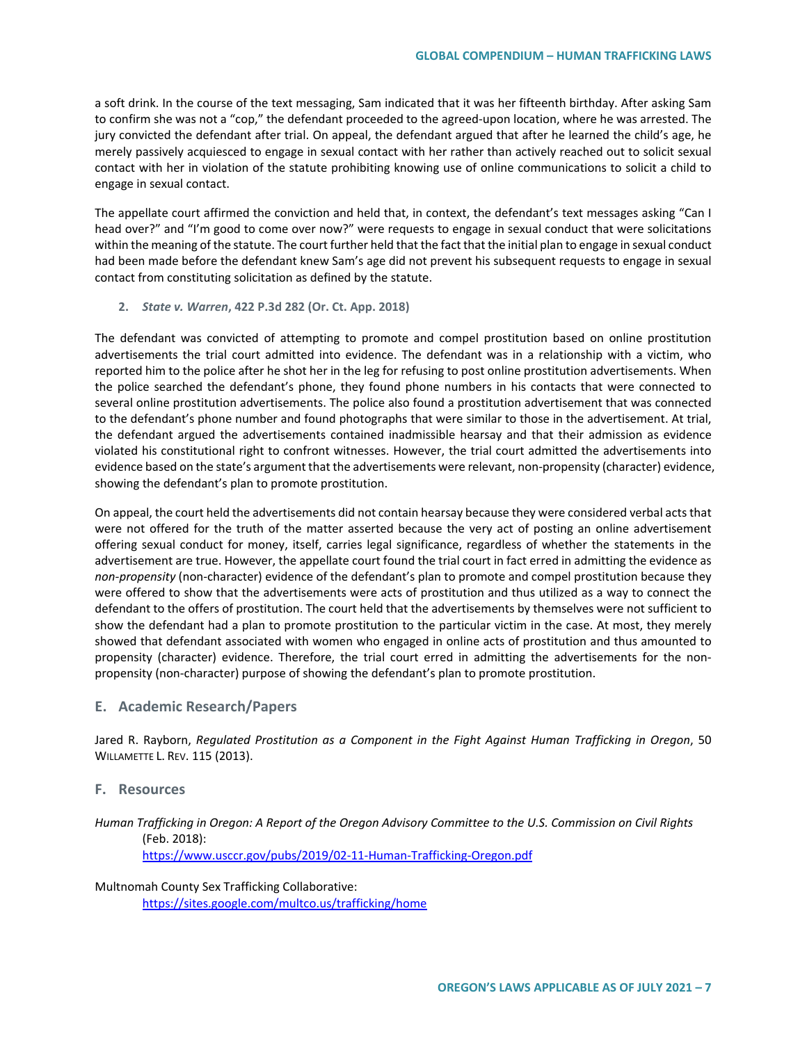a soft drink. In the course of the text messaging, Sam indicated that it was her fifteenth birthday. After asking Sam to confirm she was not a "cop," the defendant proceeded to the agreed-upon location, where he was arrested. The jury convicted the defendant after trial. On appeal, the defendant argued that after he learned the child's age, he merely passively acquiesced to engage in sexual contact with her rather than actively reached out to solicit sexual contact with her in violation of the statute prohibiting knowing use of online communications to solicit a child to engage in sexual contact.

The appellate court affirmed the conviction and held that, in context, the defendant's text messages asking "Can I head over?" and "I'm good to come over now?" were requests to engage in sexual conduct that were solicitations within the meaning of the statute. The court further held that the fact that the initial plan to engage in sexual conduct had been made before the defendant knew Sam's age did not prevent his subsequent requests to engage in sexual contact from constituting solicitation as defined by the statute.

**2.** *State v. Warren***, 422 P.3d 282 (Or. Ct. App. 2018)**

The defendant was convicted of attempting to promote and compel prostitution based on online prostitution advertisements the trial court admitted into evidence. The defendant was in a relationship with a victim, who reported him to the police after he shot her in the leg for refusing to post online prostitution advertisements. When the police searched the defendant's phone, they found phone numbers in his contacts that were connected to several online prostitution advertisements. The police also found a prostitution advertisement that was connected to the defendant's phone number and found photographs that were similar to those in the advertisement. At trial, the defendant argued the advertisements contained inadmissible hearsay and that their admission as evidence violated his constitutional right to confront witnesses. However, the trial court admitted the advertisements into evidence based on the state's argument that the advertisements were relevant, non-propensity (character) evidence, showing the defendant's plan to promote prostitution.

On appeal, the court held the advertisements did not contain hearsay because they were considered verbal acts that were not offered for the truth of the matter asserted because the very act of posting an online advertisement offering sexual conduct for money, itself, carries legal significance, regardless of whether the statements in the advertisement are true. However, the appellate court found the trial court in fact erred in admitting the evidence as *non-propensity* (non-character) evidence of the defendant's plan to promote and compel prostitution because they were offered to show that the advertisements were acts of prostitution and thus utilized as a way to connect the defendant to the offers of prostitution. The court held that the advertisements by themselves were not sufficient to show the defendant had a plan to promote prostitution to the particular victim in the case. At most, they merely showed that defendant associated with women who engaged in online acts of prostitution and thus amounted to propensity (character) evidence. Therefore, the trial court erred in admitting the advertisements for the nonpropensity (non-character) purpose of showing the defendant's plan to promote prostitution.

## **E. Academic Research/Papers**

Jared R. Rayborn, *Regulated Prostitution as a Component in the Fight Against Human Trafficking in Oregon*, 50 WILLAMETTE L. REV. 115 (2013).

# **F. Resources**

*Human Trafficking in Oregon: A Report of the Oregon Advisory Committee to the U.S. Commission on Civil Rights* (Feb. 2018): <https://www.usccr.gov/pubs/2019/02-11-Human-Trafficking-Oregon.pdf>

Multnomah County Sex Trafficking Collaborative: <https://sites.google.com/multco.us/trafficking/home>